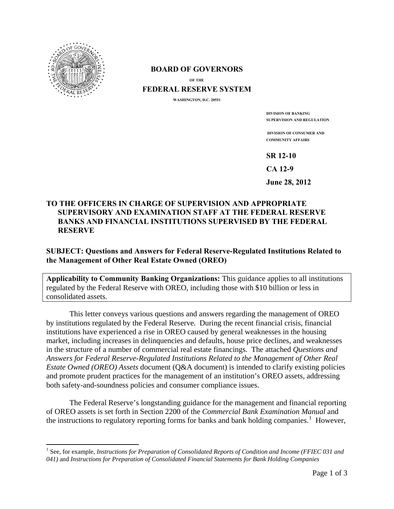

 $\overline{\phantom{a}}$ 

## **BOARD OF GOVERNORS**

**OF THE**

## **FEDERAL RESERVE SYSTEM**

**WASHINGTON, D.C. 20551** 

**DIVISION OF BANKING SUPERVISION AND REGULATION**

**DIVISION OF CONSUMER AND COMMUNITY AFFAIRS**

**SR 12-10** 

**CA 12-9** 

**June 28, 2012** 

## **TO THE OFFICERS IN CHARGE OF SUPERVISION AND APPROPRIATE SUPERVISORY AND EXAMINATION STAFF AT THE FEDERAL RESERVE BANKS AND FINANCIAL INSTITUTIONS SUPERVISED BY THE FEDERAL RESERVE**

## **SUBJECT: Questions and Answers for Federal Reserve-Regulated Institutions Related to the Management of Other Real Estate Owned (OREO)**

**Applicability to Community Banking Organizations:** This guidance applies to all institutions regulated by the Federal Reserve with OREO, including those with \$10 billion or less in consolidated assets.

This letter conveys various questions and answers regarding the management of OREO by institutions regulated by the Federal Reserve. During the recent financial crisis, financial institutions have experienced a rise in OREO caused by general weaknesses in the housing market, including increases in delinquencies and defaults, house price declines, and weaknesses in the structure of a number of commercial real estate financings. The attached *Questions and Answers for Federal Reserve-Regulated Institutions Related to the Management of Other Real Estate Owned (OREO) Assets* document (Q&A document) is intended to clarify existing policies and promote prudent practices for the management of an institution's OREO assets, addressing both safety-and-soundness policies and consumer compliance issues.

The Federal Reserve's longstanding guidance for the management and financial reporting of OREO assets is set forth in Section 2200 of the *Commercial Bank Examination Manual* and the instructions to regulatory reporting forms for banks and bank holding companies.<sup>[1](#page-0-0)</sup> However,

<span id="page-0-0"></span><sup>&</sup>lt;sup>1</sup> See, for example, *Instructions for Preparation of Consolidated Reports of Condition and Income (FFIEC 031 and 041)* and *Instructions for Preparation of Consolidated Financial Statements for Bank Holding Companies*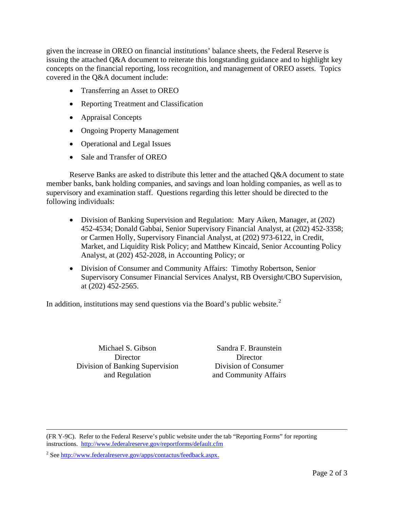given the increase in OREO on financial institutions' balance sheets, the Federal Reserve is issuing the attached Q&A document to reiterate this longstanding guidance and to highlight key concepts on the financial reporting, loss recognition, and management of OREO assets. Topics covered in the Q&A document include:

- Transferring an Asset to OREO
- Reporting Treatment and Classification
- Appraisal Concepts
- Ongoing Property Management
- Operational and Legal Issues
- Sale and Transfer of OREO

Reserve Banks are asked to distribute this letter and the attached Q&A document to state member banks, bank holding companies, and savings and loan holding companies, as well as to supervisory and examination staff. Questions regarding this letter should be directed to the following individuals:

- Division of Banking Supervision and Regulation: Mary Aiken, Manager, at (202) 452-4534; Donald Gabbai, Senior Supervisory Financial Analyst, at (202) 452-3358; or Carmen Holly, Supervisory Financial Analyst, at (202) 973-6122, in Credit, Market, and Liquidity Risk Policy; and Matthew Kincaid, Senior Accounting Policy Analyst, at (202) 452-2028, in Accounting Policy; or
- Division of Consumer and Community Affairs: Timothy Robertson, Senior Supervisory Consumer Financial Services Analyst, RB Oversight/CBO Supervision, at (202) 452-2565.

In addition, institutions may send questions via the Board's public website. $2^2$  $2^2$ 

Michael S. Gibson **Director** Division of Banking Supervision and Regulation

Sandra F. Braunstein **Director** Division of Consumer and Community Affairs

(FR Y-9C). Refer to the Federal Reserve's public website under the tab "Reporting Forms" for reporting instructions. <http://www.federalreserve.gov/reportforms/default.cfm>

l

<span id="page-1-0"></span><sup>2</sup> See http://www.federalreserve.gov/apps/contactus/feedback.aspx.